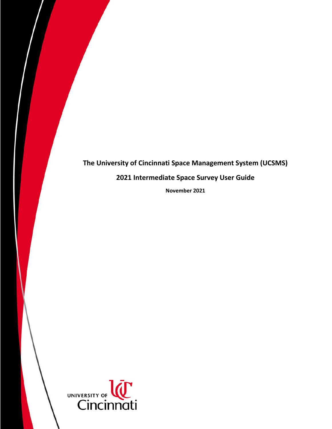# **The University of Cincinnati Space Management System (UCSMS)**

# **2021 Intermediate Space Survey User Guide**

**November 2021**

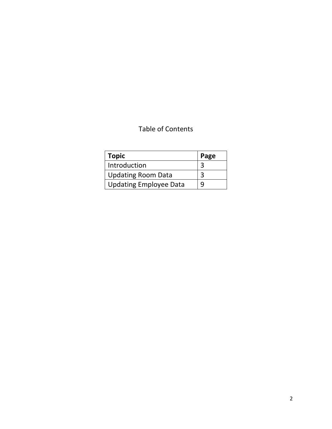# Table of Contents

| $\mid$ Topic                  | Page |
|-------------------------------|------|
| Introduction                  | 3    |
| <b>Updating Room Data</b>     | 3    |
| <b>Updating Employee Data</b> | 9    |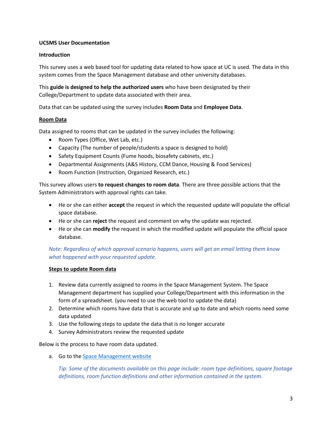# **UCSMS User Documentation**

# **Introduction**

This survey uses a web based tool for updating data related to how space at UC is used. The data in this system comes from the Space Management database and other university databases.

This **guide is designed to help the authorized users** who have been designated by their College/Department to update data associated with their area.

Data that can be updated using the survey includes **Room Data** and **Employee Data**.

# **Room Data**

Data assigned to rooms that can be updated in the survey includes the following:

- Room Types (Office, Wet Lab, etc.)
- Capacity (The number of people/students a space is designed to hold)
- Safety Equipment Counts (Fume hoods, biosafety cabinets, etc.)
- Departmental Assignments (A&S History, CCM Dance, Housing & Food Services)
- Room Function (Instruction, Organized Research, etc.)

This survey allows users **to request changes to room data**. There are three possible actions that the System Administrators with approval rights can take.

- He or she can either **accept** the request in which the requested update will populate the official space database.
- He or she can **reject** the request and comment on why the update was rejected.
- He or she can **modify** the request in which the modified update will populate the official space database.

*Note: Regardless of which approval scenario happens, users will get an email letting them know what happened with your requested update.*

#### **Steps to update Room data**

- 1. Review data currently assigned to rooms in the Space Management System. The Space Management department has supplied your College/Department with this information in the form of a spreadsheet. (you need to use the web tool to update the data)
- 2. Determine which rooms have data that is accurate and up to date and which rooms need some data updated
- 3. Use the following steps to update the data that is no longer accurate
- 4. Survey Administrators review the requested update

Below is the process to have room data updated.

a. Go to th[e Space Management website](https://www.uc.edu/about/admin-finance/planning-design-construction/maps-space-management.html)

*Tip: Some of the documents available on this page include: room type definitions, square footage definitions, room function definitions and other information contained in the system.*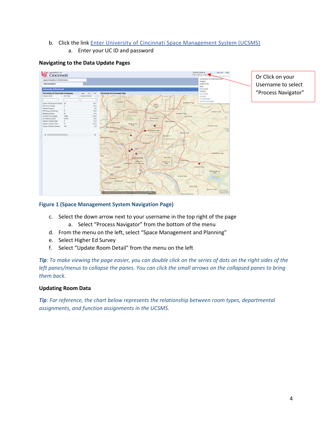# b. Click the link Enter University of Cincinnati Space [Management](https://space.uc.edu/archibus/login.axvw) System (UCSMS) a. Enter your UC ID and password

# SURVEY\_USER v<br>Find a form or report **IC** Cincinnati Space Inventory & Per niversity o<br>roject<br>JRVEYOR Map Navigat Role<br>21.3.3.697 sity of Ci ity of Ci **XLS** 26.7<br>91.2<br>0.0<br>91.0<br>23.4<br>131.8<br>19.0<br>57.0<br>137.0 Springfield<br>Twp  $\bullet$ 扇  $\bullet$ Gincinnati inders amsbur<br>Two esri-

**Navigating to the Data Update Pages**

# Or Click on your Username to select "Process Navigator"

# **Figure 1 (Space Management System Navigation Page)**

- c. Select the down arrow next to your username in the top right of the page
	- a. Select "Process Navigator" from the bottom of the menu
- d. From the menu on the left, select "Space Management and Planning"
- e. Select Higher Ed Survey
- f. Select "Update Room Detail" from the menu on the left

*Tip: To make viewing the page easier, you can double click on the series of dots on the right sides of the left panes/menus to collapse the panes. You can click the small arrows on the collapsed panes to bring them back.*

#### **Updating Room Data**

*Tip: For reference, the chart below represents the relationship between room types, departmental assignments, and function assignments in the UCSMS.*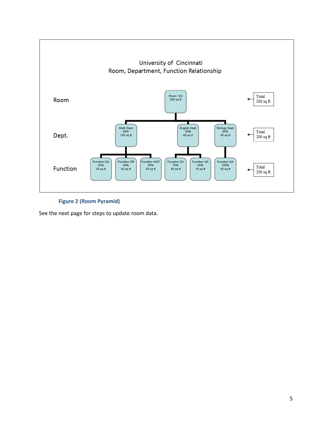

**Figure 2 (Room Pyramid)**

See the next page for steps to update room data.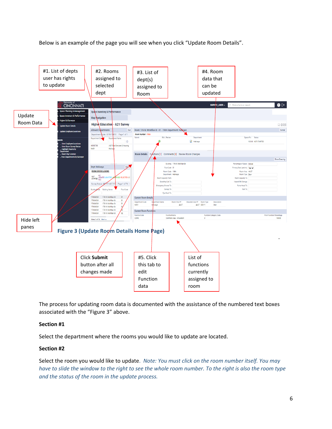Below is an example of the page you will see when you click "Update Room Details".



The process for updating room data is documented with the assistance of the numbered text boxes associated with the "Figure 3" above.

#### **Section #1**

Select the department where the rooms you would like to update are located.

#### **Section #2**

Select the room you would like to update. *Note: You must click on the room number itself. You may have to slide the window to the right to see the whole room number. To the right is also the room type and the status of the room in the update process.*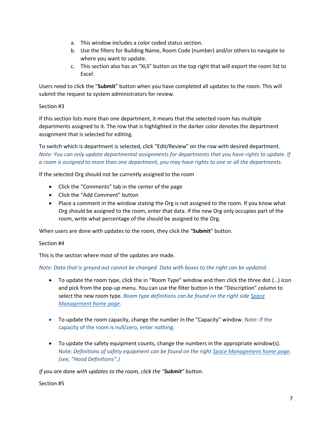- a. This window includes a color coded status section.
- b. Use the filters for Building Name, Room Code (number) and/or others to navigate to where you want to update.
- c. This section also has an "XLS" button on the top right that will export the room list to Excel.

Users need to click the "**Submit**" button when you have completed all updates to the room. This will submit the request to system administrators for review.

# Section #3

If this section lists more than one department, it means that the selected room has multiple departments assigned to it. The row that is highlighted in the darker color denotes the department assignment that is selected for editing.

To switch which is department is selected, click "Edit/Review" on the row with desired department. *Note: You can only update departmental assignments for departments that you have rights to update. If a room is assigned to more than one department, you may have rights to one or all the departments.*

If the selected Org should not be currently assigned to the room

- Click the "Comments" tab in the center of the page
- Click the "Add Comment" button
- Place a comment in the window stating the Org is not assigned to the room. If you know what Org should be assigned to the room, enter that data. If the new Org only occupies part of the room, write what percentage of the should be assigned to the Org.

When users are done with updates to the room, they click the "**Submit**" button.

Section #4

This is the section where most of the updates are made.

*Note: Data that is greyed out cannot be changed. Data with boxes to the right can be updated.*

- To update the room type, click the in "Room Type" window and then click the three dot (…) icon and pick from the pop-up menu. You can use the filter button in the "Description" column to select the new room type. *Room type definitions can be found on the right sid[e Space](https://www.uc.edu/about/admin-finance/planning-design-construction/maps-space-management.html)  [Management home page.](https://www.uc.edu/about/admin-finance/planning-design-construction/maps-space-management.html)*
- To update the room capacity, change the number in the "Capacity" window. Note: If the capacity of the room is null/zero, enter nothing.
- To update the safety equipment counts, change the numbers in the appropriate window(s). Note: *Definitions of safety equipment can be found on the righ[t Space Management home page.](https://www.uc.edu/about/admin-finance/planning-design-construction/maps-space-management.html) (see, "Hood Definitions".)*

*If you are done with updates to the room, click the "Submit" button.*

Section #5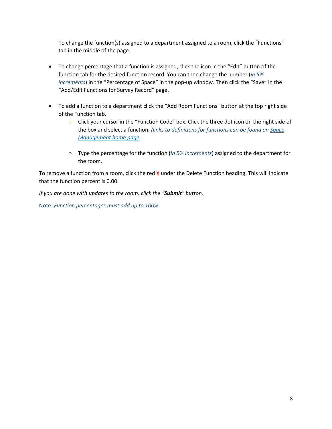To change the function(s) assigned to a department assigned to a room, click the "Functions" tab in the middle of the page.

- To change percentage that a function is assigned, click the icon in the "Edit" button of the function tab for the desired function record. You can then change the number (*in 5% increments*) in the "Percentage of Space" in the pop-up window. Then click the "Save" in the "Add/Edit Functions for Survey Record" page.
- To add a function to a department click the "Add Room Functions" button at the top right side of the Function tab.
	- o Click your cursor in the "Function Code" box. Click the three dot icon on the right side of the box and select a function. *(links to definitions for functions can be found on [Space](https://www.uc.edu/about/admin-finance/planning-design-construction/maps-space-management.html)  [Management home page](https://www.uc.edu/about/admin-finance/planning-design-construction/maps-space-management.html)*
	- o Type the percentage for the function (*in 5% increments*) assigned to the department for the room.

To remove a function from a room, click the red  $X$  under the Delete Function heading. This will indicate that the function percent is 0.00.

*If you are done with updates to the room, click the "Submit" button.*

Note: *Function percentages must add up to 100%.*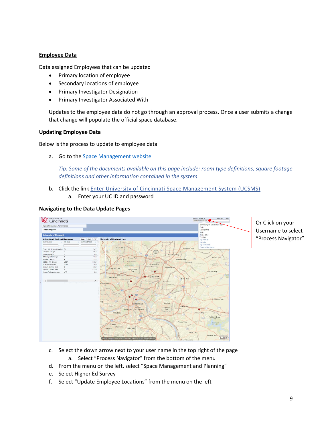# **Employee Data**

Data assigned Employees that can be updated

- Primary location of employee
- Secondary locations of employee
- Primary Investigator Designation
- Primary Investigator Associated With

Updates to the employee data do not go through an approval process. Once a user submits a change that change will populate the official space database.

#### **Updating Employee Data**

Below is the process to update to employee data

a. Go to th[e Space Management website](https://www.uc.edu/about/admin-finance/planning-design-construction/maps-space-management.html)

*Tip: Some of the documents available on this page include: room type definitions, square footage definitions and other information contained in the system.* 

- b. Click the link Enter University of Cincinnati Space [Management](https://space.uc.edu/archibus/login.axvw) System (UCSMS)
	- a. Enter your UC ID and password

#### **Navigating to the Data Update Pages**



Or Click on your Username to select "Process Navigator"

- c. Select the down arrow next to your user name in the top right of the page a. Select "Process Navigator" from the bottom of the menu
- d. From the menu on the left, select "Space Management and Planning"
- e. Select Higher Ed Survey
- f. Select "Update Employee Locations" from the menu on the left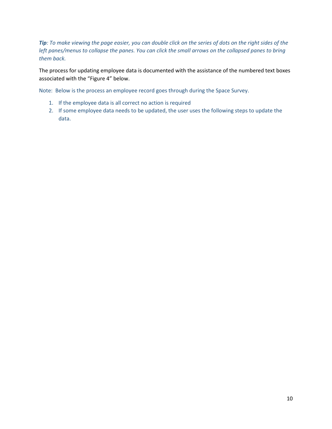*Tip: To make viewing the page easier, you can double click on the series of dots on the right sides of the left panes/menus to collapse the panes. You can click the small arrows on the collapsed panes to bring them back.*

The process for updating employee data is documented with the assistance of the numbered text boxes associated with the "Figure 4" below.

Note: Below is the process an employee record goes through during the Space Survey.

- 1. If the employee data is all correct no action is required
- 2. If some employee data needs to be updated, the user uses the following steps to update the data.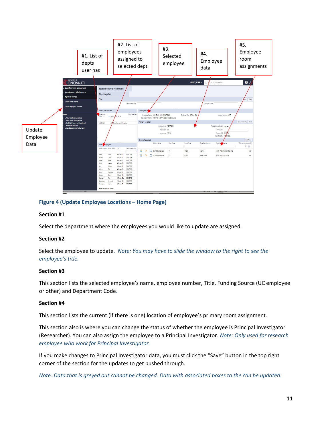

# **Figure 4 (Update Employee Locations – Home Page)**

#### **Section #1**

Select the department where the employees you would like to update are assigned.

#### **Section #2**

Select the employee to update. *Note: You may have to slide the window to the right to see the employee's title.*

#### **Section #3**

This section lists the selected employee's name, employee number, Title, Funding Source (UC employee or other) and Department Code.

#### **Section #4**

This section lists the current (if there is one) location of employee's primary room assignment.

This section also is where you can change the status of whether the employee is Principal Investigator (Researcher). You can also assign the employee to a Principal Investigator. *Note: Only used for research employee who work for Principal Investigator.*

If you make changes to Principal Investigator data, you must click the "Save" button in the top right corner of the section for the updates to get pushed through.

*Note: Data that is greyed out cannot be changed. Data with associated boxes to the can be updated.*